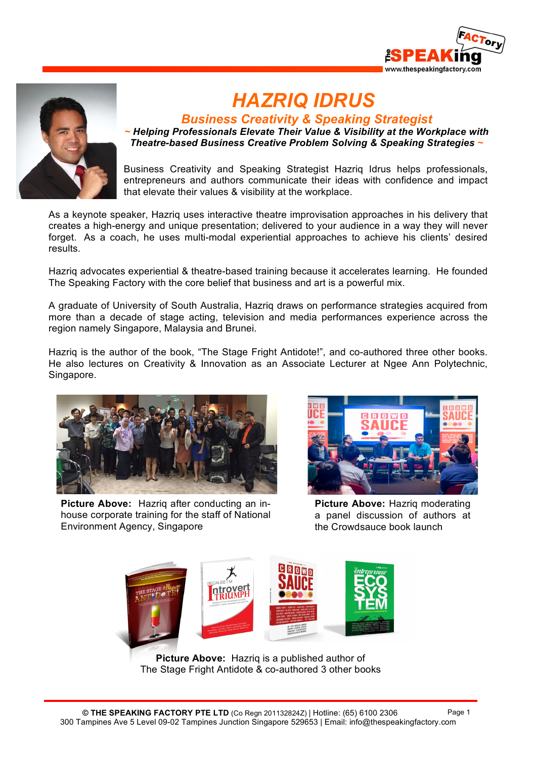



# *HAZRIQ IDRUS*

*Business Creativity & Speaking Strategist*

*~ Helping Professionals Elevate Their Value & Visibility at the Workplace with Theatre-based Business Creative Problem Solving & Speaking Strategies ~*

Business Creativity and Speaking Strategist Hazriq Idrus helps professionals, entrepreneurs and authors communicate their ideas with confidence and impact that elevate their values & visibility at the workplace.

As a keynote speaker, Hazriq uses interactive theatre improvisation approaches in his delivery that creates a high-energy and unique presentation; delivered to your audience in a way they will never forget. As a coach, he uses multi-modal experiential approaches to achieve his clients' desired results.

Hazriq advocates experiential & theatre-based training because it accelerates learning. He founded The Speaking Factory with the core belief that business and art is a powerful mix.

A graduate of University of South Australia, Hazriq draws on performance strategies acquired from more than a decade of stage acting, television and media performances experience across the region namely Singapore, Malaysia and Brunei.

Hazriq is the author of the book, "The Stage Fright Antidote!", and co-authored three other books. He also lectures on Creativity & Innovation as an Associate Lecturer at Ngee Ann Polytechnic, Singapore.



**Picture Above:** Hazriq after conducting an inhouse corporate training for the staff of National Environment Agency, Singapore



**Picture Above:** Hazriq moderating a panel discussion of authors at the Crowdsauce book launch



**Picture Above:** Hazriq is a published author of The Stage Fright Antidote & co-authored 3 other books